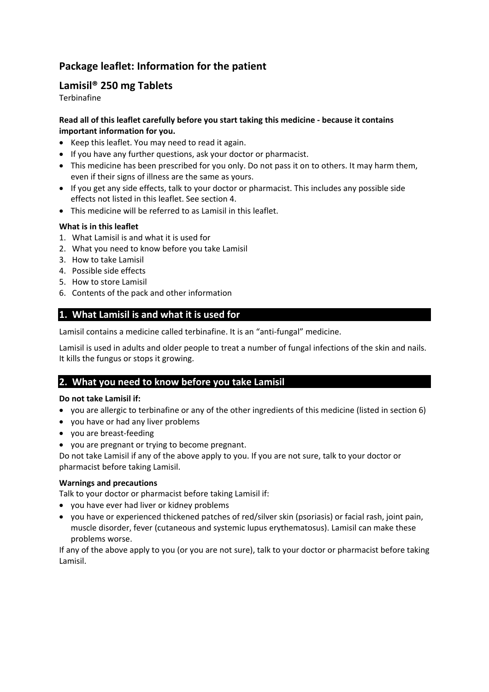# **Package leaflet: Information for the patient**

# **Lamisil® 250 mg Tablets**

**Terbinafine** 

### **Read all of this leaflet carefully before you start taking this medicine - because it contains important information for you.**

- Keep this leaflet. You may need to read it again.
- If you have any further questions, ask your doctor or pharmacist.
- This medicine has been prescribed for you only. Do not pass it on to others. It may harm them, even if their signs of illness are the same as yours.
- If you get any side effects, talk to your doctor or pharmacist. This includes any possible side effects not listed in this leaflet. See section 4.
- This medicine will be referred to as Lamisil in this leaflet.

### **What is in this leaflet**

- 1. What Lamisil is and what it is used for
- 2. What you need to know before you take Lamisil
- 3. How to take Lamisil
- 4. Possible side effects
- 5. How to store Lamisil
- 6. Contents of the pack and other information

## **1. What Lamisil is and what it is used for**

Lamisil contains a medicine called terbinafine. It is an "anti-fungal" medicine.

Lamisil is used in adults and older people to treat a number of fungal infections of the skin and nails. It kills the fungus or stops it growing.

## **2. What you need to know before you take Lamisil**

#### **Do not take Lamisil if:**

- you are allergic to terbinafine or any of the other ingredients of this medicine (listed in section 6)
- you have or had any liver problems
- you are breast-feeding
- you are pregnant or trying to become pregnant.

Do not take Lamisil if any of the above apply to you. If you are not sure, talk to your doctor or pharmacist before taking Lamisil.

#### **Warnings and precautions**

Talk to your doctor or pharmacist before taking Lamisil if:

- you have ever had liver or kidney problems
- you have or experienced thickened patches of red/silver skin (psoriasis) or facial rash, joint pain, muscle disorder, fever (cutaneous and systemic lupus erythematosus). Lamisil can make these problems worse.

If any of the above apply to you (or you are not sure), talk to your doctor or pharmacist before taking Lamisil.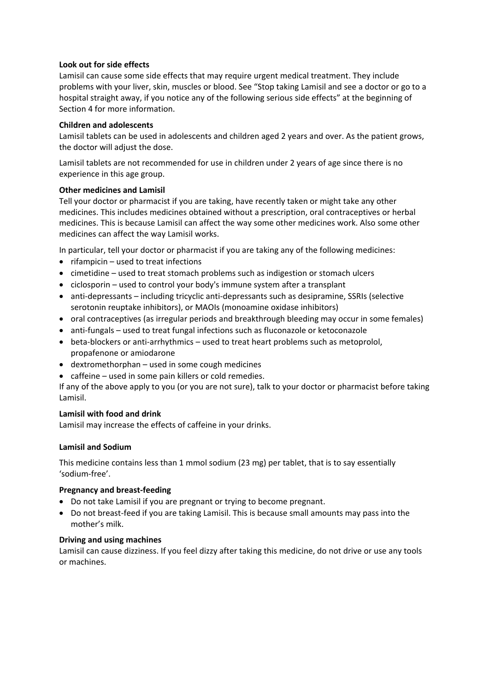#### **Look out for side effects**

Lamisil can cause some side effects that may require urgent medical treatment. They include problems with your liver, skin, muscles or blood. See "Stop taking Lamisil and see a doctor or go to a hospital straight away, if you notice any of the following serious side effects" at the beginning of Section 4 for more information.

#### **Children and adolescents**

Lamisil tablets can be used in adolescents and children aged 2 years and over. As the patient grows, the doctor will adjust the dose.

Lamisil tablets are not recommended for use in children under 2 years of age since there is no experience in this age group.

#### **Other medicines and Lamisil**

Tell your doctor or pharmacist if you are taking, have recently taken or might take any other medicines. This includes medicines obtained without a prescription, oral contraceptives or herbal medicines. This is because Lamisil can affect the way some other medicines work. Also some other medicines can affect the way Lamisil works.

In particular, tell your doctor or pharmacist if you are taking any of the following medicines:

- $\bullet$  rifampicin used to treat infections
- cimetidine used to treat stomach problems such as indigestion or stomach ulcers
- $\bullet$  ciclosporin used to control your body's immune system after a transplant
- anti-depressants including tricyclic anti-depressants such as desipramine, SSRIs (selective serotonin reuptake inhibitors), or MAOIs (monoamine oxidase inhibitors)
- oral contraceptives (as irregular periods and breakthrough bleeding may occur in some females)
- anti-fungals used to treat fungal infections such as fluconazole or ketoconazole
- beta-blockers or anti-arrhythmics used to treat heart problems such as metoprolol, propafenone or amiodarone
- dextromethorphan used in some cough medicines
- caffeine used in some pain killers or cold remedies.

If any of the above apply to you (or you are not sure), talk to your doctor or pharmacist before taking Lamisil.

#### **Lamisil with food and drink**

Lamisil may increase the effects of caffeine in your drinks.

#### **Lamisil and Sodium**

This medicine contains less than 1 mmol sodium (23 mg) per tablet, that is to say essentially 'sodium-free'.

#### **Pregnancy and breast-feeding**

- Do not take Lamisil if you are pregnant or trying to become pregnant.
- Do not breast-feed if you are taking Lamisil. This is because small amounts may pass into the mother's milk.

#### **Driving and using machines**

Lamisil can cause dizziness. If you feel dizzy after taking this medicine, do not drive or use any tools or machines.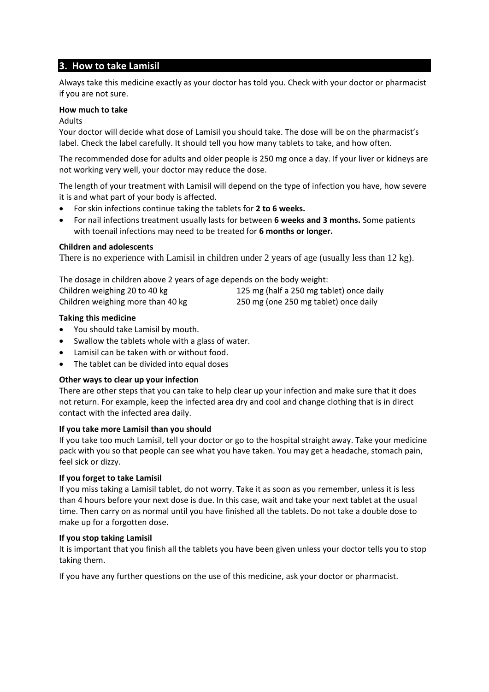# **3. How to take Lamisil**

Always take this medicine exactly as your doctor has told you. Check with your doctor or pharmacist if you are not sure.

#### **How much to take**

Adults

Your doctor will decide what dose of Lamisil you should take. The dose will be on the pharmacist's label. Check the label carefully. It should tell you how many tablets to take, and how often.

The recommended dose for adults and older people is 250 mg once a day. If your liver or kidneys are not working very well, your doctor may reduce the dose.

The length of your treatment with Lamisil will depend on the type of infection you have, how severe it is and what part of your body is affected.

- For skin infections continue taking the tablets for **2 to 6 weeks.**
- For nail infections treatment usually lasts for between **6 weeks and 3 months.** Some patients with toenail infections may need to be treated for **6 months or longer.**

#### **Children and adolescents**

There is no experience with Lamisil in children under 2 years of age (usually less than 12 kg).

The dosage in children above 2 years of age depends on the body weight: Children weighing 20 to 40 kg 125 mg (half a 250 mg tablet) once daily Children weighing more than 40 kg 250 mg (one 250 mg tablet) once daily

#### **Taking this medicine**

- You should take Lamisil by mouth.
- Swallow the tablets whole with a glass of water.
- Lamisil can be taken with or without food.
- The tablet can be divided into equal doses

#### **Other ways to clear up your infection**

There are other steps that you can take to help clear up your infection and make sure that it does not return. For example, keep the infected area dry and cool and change clothing that is in direct contact with the infected area daily.

#### **If you take more Lamisil than you should**

If you take too much Lamisil, tell your doctor or go to the hospital straight away. Take your medicine pack with you so that people can see what you have taken. You may get a headache, stomach pain, feel sick or dizzy.

#### **If you forget to take Lamisil**

If you miss taking a Lamisil tablet, do not worry. Take it as soon as you remember, unless it is less than 4 hours before your next dose is due. In this case, wait and take your next tablet at the usual time. Then carry on as normal until you have finished all the tablets. Do not take a double dose to make up for a forgotten dose.

#### **If you stop taking Lamisil**

It is important that you finish all the tablets you have been given unless your doctor tells you to stop taking them.

If you have any further questions on the use of this medicine, ask your doctor or pharmacist.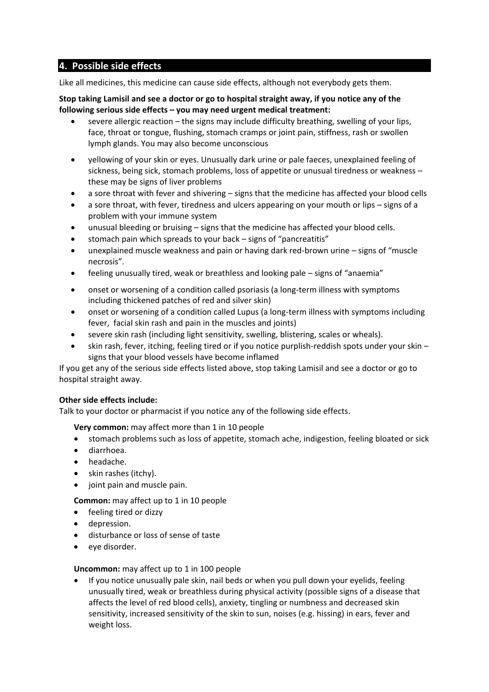# **4. Possible side effects**

Like all medicines, this medicine can cause side effects, although not everybody gets them.

#### **Stop taking Lamisil and see a doctor or go to hospital straight away, if you notice any of the following serious side effects – you may need urgent medical treatment:**

- severe allergic reaction the signs may include difficulty breathing, swelling of your lips, face, throat or tongue, flushing, stomach cramps or joint pain, stiffness, rash or swollen lymph glands. You may also become unconscious
- yellowing of your skin or eyes. Unusually dark urine or pale faeces, unexplained feeling of sickness, being sick, stomach problems, loss of appetite or unusual tiredness or weakness – these may be signs of liver problems
- a sore throat with fever and shivering signs that the medicine has affected your blood cells
- a sore throat, with fever, tiredness and ulcers appearing on your mouth or lips signs of a problem with your immune system
- unusual bleeding or bruising signs that the medicine has affected your blood cells.
- stomach pain which spreads to your back signs of "pancreatitis"
- unexplained muscle weakness and pain or having dark red-brown urine signs of "muscle necrosis".
- feeling unusually tired, weak or breathless and looking pale signs of "anaemia"
- onset or worsening of a condition called psoriasis (a long-term illness with symptoms including thickened patches of red and silver skin)
- onset or worsening of a condition called Lupus (a long-term illness with symptoms including fever, facial skin rash and pain in the muscles and joints)
- severe skin rash (including light sensitivity, swelling, blistering, scales or wheals).
- skin rash, fever, itching, feeling tired or if you notice purplish-reddish spots under your skin signs that your blood vessels have become inflamed

If you get any of the serious side effects listed above, stop taking Lamisil and see a doctor or go to hospital straight away.

#### **Other side effects include:**

Talk to your doctor or pharmacist if you notice any of the following side effects.

**Very common:** may affect more than 1 in 10 people

- stomach problems such as loss of appetite, stomach ache, indigestion, feeling bloated or sick
- diarrhoea.
- headache.
- $\bullet$  skin rashes (itchy).
- joint pain and muscle pain.

**Common:** may affect up to 1 in 10 people

- feeling tired or dizzy
- depression.
- disturbance or loss of sense of taste
- eye disorder.

#### **Uncommon:** may affect up to 1 in 100 people

 If you notice unusually pale skin, nail beds or when you pull down your eyelids, feeling unusually tired, weak or breathless during physical activity (possible signs of a disease that affects the level of red blood cells), anxiety, tingling or numbness and decreased skin sensitivity, increased sensitivity of the skin to sun, noises (e.g. hissing) in ears, fever and weight loss.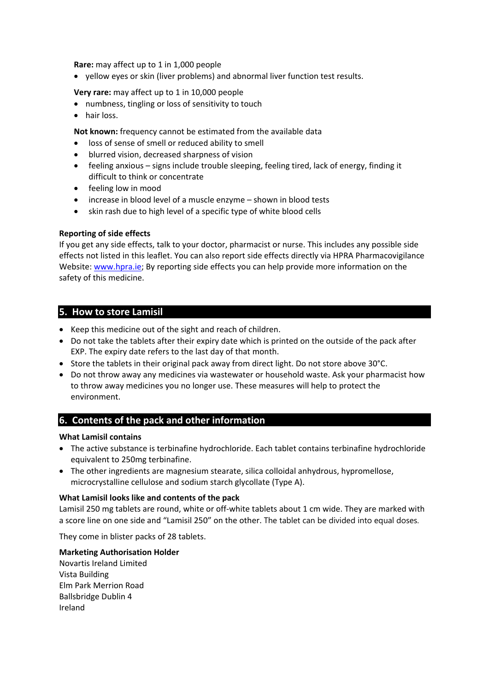**Rare:** may affect up to 1 in 1,000 people

yellow eyes or skin (liver problems) and abnormal liver function test results.

#### **Very rare:** may affect up to 1 in 10,000 people

- numbness, tingling or loss of sensitivity to touch
- hair loss.

**Not known:** frequency cannot be estimated from the available data

- loss of sense of smell or reduced ability to smell
- blurred vision, decreased sharpness of vision
- feeling anxious signs include trouble sleeping, feeling tired, lack of energy, finding it difficult to think or concentrate
- feeling low in mood
- increase in blood level of a muscle enzyme shown in blood tests
- skin rash due to high level of a specific type of white blood cells

#### **Reporting of side effects**

If you get any side effects, talk to your doctor, pharmacist or nurse. This includes any possible side effects not listed in this leaflet. You can also report side effects directly via HPRA Pharmacovigilance Website: [www.hpra.ie;](http://www.hpra.ie/) By reporting side effects you can help provide more information on the safety of this medicine.

### **5. How to store Lamisil**

- Keep this medicine out of the sight and reach of children.
- Do not take the tablets after their expiry date which is printed on the outside of the pack after EXP. The expiry date refers to the last day of that month.
- Store the tablets in their original pack away from direct light. Do not store above 30°C.
- Do not throw away any medicines via wastewater or household waste. Ask your pharmacist how to throw away medicines you no longer use. These measures will help to protect the environment.

## **6. Contents of the pack and other information**

#### **What Lamisil contains**

- The active substance is terbinafine hydrochloride. Each tablet contains terbinafine hydrochloride equivalent to 250mg terbinafine.
- The other ingredients are magnesium stearate, silica colloidal anhydrous, hypromellose, microcrystalline cellulose and sodium starch glycollate (Type A).

#### **What Lamisil looks like and contents of the pack**

Lamisil 250 mg tablets are round, white or off-white tablets about 1 cm wide. They are marked with a score line on one side and "Lamisil 250" on the other. The tablet can be divided into equal doses.

They come in blister packs of 28 tablets.

#### **Marketing Authorisation Holder**

Novartis Ireland Limited Vista Building Elm Park Merrion Road Ballsbridge Dublin 4 Ireland